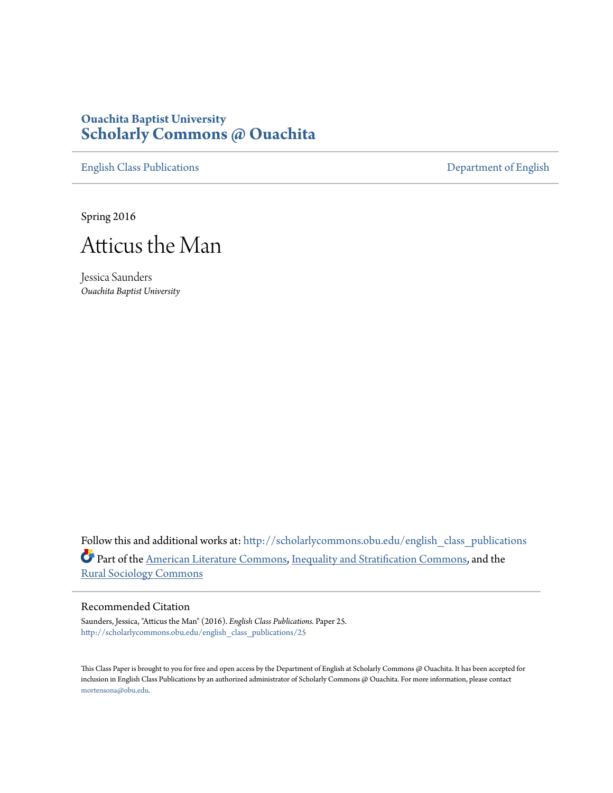## **Ouachita Baptist University [Scholarly Commons @ Ouachita](http://scholarlycommons.obu.edu?utm_source=scholarlycommons.obu.edu%2Fenglish_class_publications%2F25&utm_medium=PDF&utm_campaign=PDFCoverPages)**

[English Class Publications](http://scholarlycommons.obu.edu/english_class_publications?utm_source=scholarlycommons.obu.edu%2Fenglish_class_publications%2F25&utm_medium=PDF&utm_campaign=PDFCoverPages) [Department of English](http://scholarlycommons.obu.edu/english?utm_source=scholarlycommons.obu.edu%2Fenglish_class_publications%2F25&utm_medium=PDF&utm_campaign=PDFCoverPages)

Spring 2016



Jessica Saunders *Ouachita Baptist University*

Follow this and additional works at: [http://scholarlycommons.obu.edu/english\\_class\\_publications](http://scholarlycommons.obu.edu/english_class_publications?utm_source=scholarlycommons.obu.edu%2Fenglish_class_publications%2F25&utm_medium=PDF&utm_campaign=PDFCoverPages) Part of the [American Literature Commons,](http://network.bepress.com/hgg/discipline/441?utm_source=scholarlycommons.obu.edu%2Fenglish_class_publications%2F25&utm_medium=PDF&utm_campaign=PDFCoverPages) [Inequality and Stratification Commons](http://network.bepress.com/hgg/discipline/421?utm_source=scholarlycommons.obu.edu%2Fenglish_class_publications%2F25&utm_medium=PDF&utm_campaign=PDFCoverPages), and the [Rural Sociology Commons](http://network.bepress.com/hgg/discipline/428?utm_source=scholarlycommons.obu.edu%2Fenglish_class_publications%2F25&utm_medium=PDF&utm_campaign=PDFCoverPages)

## Recommended Citation

Saunders, Jessica, "Atticus the Man" (2016). *English Class Publications.* Paper 25. [http://scholarlycommons.obu.edu/english\\_class\\_publications/25](http://scholarlycommons.obu.edu/english_class_publications/25?utm_source=scholarlycommons.obu.edu%2Fenglish_class_publications%2F25&utm_medium=PDF&utm_campaign=PDFCoverPages)

This Class Paper is brought to you for free and open access by the Department of English at Scholarly Commons @ Ouachita. It has been accepted for inclusion in English Class Publications by an authorized administrator of Scholarly Commons @ Ouachita. For more information, please contact [mortensona@obu.edu](mailto:mortensona@obu.edu).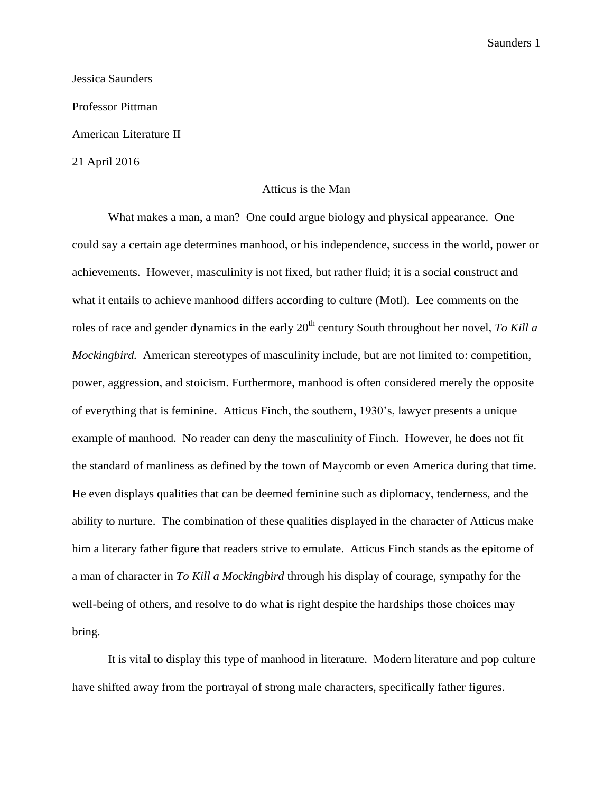Jessica Saunders Professor Pittman American Literature II 21 April 2016

## Atticus is the Man

What makes a man, a man? One could argue biology and physical appearance. One could say a certain age determines manhood, or his independence, success in the world, power or achievements. However, masculinity is not fixed, but rather fluid; it is a social construct and what it entails to achieve manhood differs according to culture (Motl). Lee comments on the roles of race and gender dynamics in the early 20<sup>th</sup> century South throughout her novel, *To Kill a Mockingbird.* American stereotypes of masculinity include, but are not limited to: competition, power, aggression, and stoicism. Furthermore, manhood is often considered merely the opposite of everything that is feminine. Atticus Finch, the southern, 1930's, lawyer presents a unique example of manhood. No reader can deny the masculinity of Finch. However, he does not fit the standard of manliness as defined by the town of Maycomb or even America during that time. He even displays qualities that can be deemed feminine such as diplomacy, tenderness, and the ability to nurture. The combination of these qualities displayed in the character of Atticus make him a literary father figure that readers strive to emulate. Atticus Finch stands as the epitome of a man of character in *To Kill a Mockingbird* through his display of courage, sympathy for the well-being of others, and resolve to do what is right despite the hardships those choices may bring.

 It is vital to display this type of manhood in literature. Modern literature and pop culture have shifted away from the portrayal of strong male characters, specifically father figures.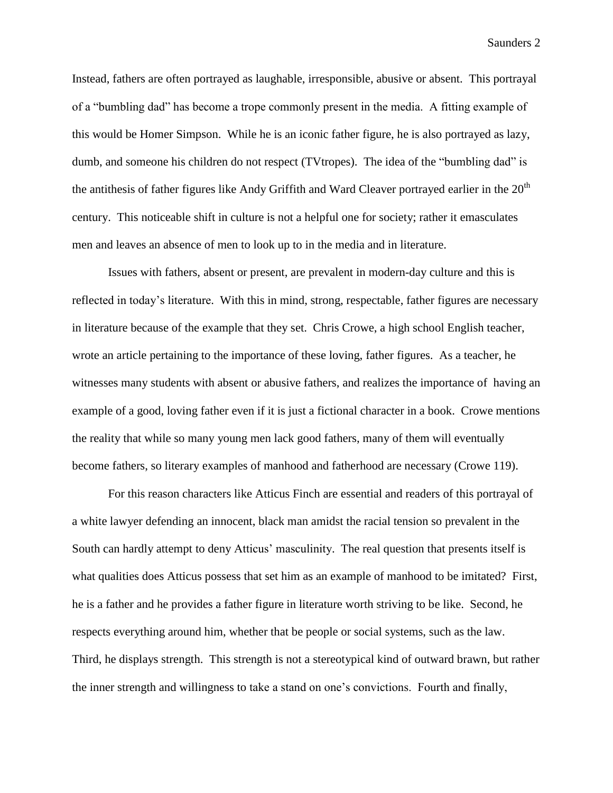Instead, fathers are often portrayed as laughable, irresponsible, abusive or absent. This portrayal of a "bumbling dad" has become a trope commonly present in the media. A fitting example of this would be Homer Simpson. While he is an iconic father figure, he is also portrayed as lazy, dumb, and someone his children do not respect (TVtropes). The idea of the "bumbling dad" is the antithesis of father figures like Andy Griffith and Ward Cleaver portrayed earlier in the  $20<sup>th</sup>$ century. This noticeable shift in culture is not a helpful one for society; rather it emasculates men and leaves an absence of men to look up to in the media and in literature.

Issues with fathers, absent or present, are prevalent in modern-day culture and this is reflected in today's literature. With this in mind, strong, respectable, father figures are necessary in literature because of the example that they set. Chris Crowe, a high school English teacher, wrote an article pertaining to the importance of these loving, father figures. As a teacher, he witnesses many students with absent or abusive fathers, and realizes the importance of having an example of a good, loving father even if it is just a fictional character in a book. Crowe mentions the reality that while so many young men lack good fathers, many of them will eventually become fathers, so literary examples of manhood and fatherhood are necessary (Crowe 119).

For this reason characters like Atticus Finch are essential and readers of this portrayal of a white lawyer defending an innocent, black man amidst the racial tension so prevalent in the South can hardly attempt to deny Atticus' masculinity. The real question that presents itself is what qualities does Atticus possess that set him as an example of manhood to be imitated? First, he is a father and he provides a father figure in literature worth striving to be like. Second, he respects everything around him, whether that be people or social systems, such as the law. Third, he displays strength. This strength is not a stereotypical kind of outward brawn, but rather the inner strength and willingness to take a stand on one's convictions. Fourth and finally,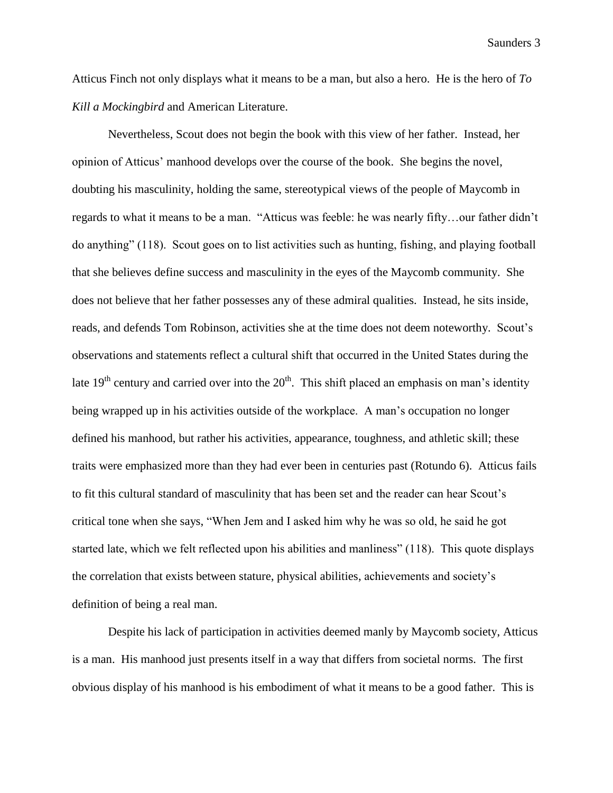Atticus Finch not only displays what it means to be a man, but also a hero. He is the hero of *To Kill a Mockingbird* and American Literature.

Nevertheless, Scout does not begin the book with this view of her father. Instead, her opinion of Atticus' manhood develops over the course of the book. She begins the novel, doubting his masculinity, holding the same, stereotypical views of the people of Maycomb in regards to what it means to be a man. "Atticus was feeble: he was nearly fifty…our father didn't do anything" (118). Scout goes on to list activities such as hunting, fishing, and playing football that she believes define success and masculinity in the eyes of the Maycomb community. She does not believe that her father possesses any of these admiral qualities. Instead, he sits inside, reads, and defends Tom Robinson, activities she at the time does not deem noteworthy. Scout's observations and statements reflect a cultural shift that occurred in the United States during the late  $19<sup>th</sup>$  century and carried over into the  $20<sup>th</sup>$ . This shift placed an emphasis on man's identity being wrapped up in his activities outside of the workplace. A man's occupation no longer defined his manhood, but rather his activities, appearance, toughness, and athletic skill; these traits were emphasized more than they had ever been in centuries past (Rotundo 6). Atticus fails to fit this cultural standard of masculinity that has been set and the reader can hear Scout's critical tone when she says, "When Jem and I asked him why he was so old, he said he got started late, which we felt reflected upon his abilities and manliness" (118). This quote displays the correlation that exists between stature, physical abilities, achievements and society's definition of being a real man.

Despite his lack of participation in activities deemed manly by Maycomb society, Atticus is a man. His manhood just presents itself in a way that differs from societal norms. The first obvious display of his manhood is his embodiment of what it means to be a good father. This is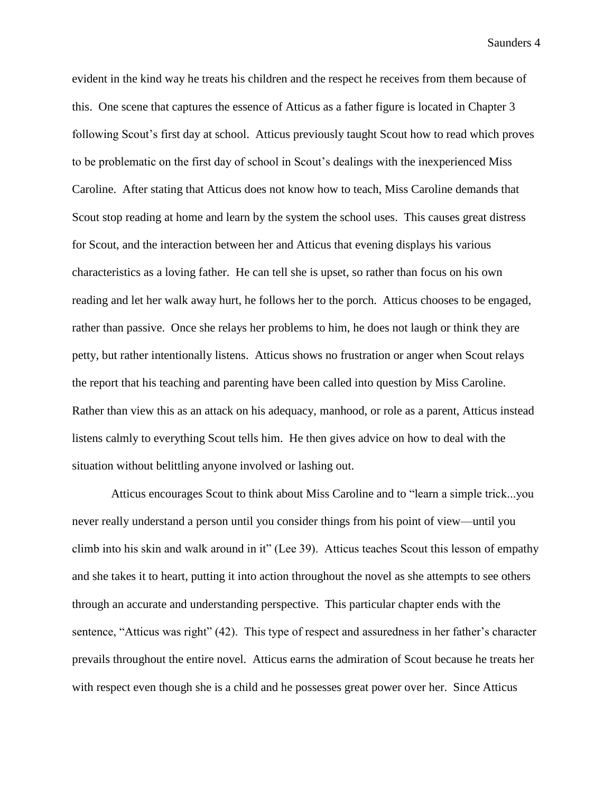evident in the kind way he treats his children and the respect he receives from them because of this. One scene that captures the essence of Atticus as a father figure is located in Chapter 3 following Scout's first day at school. Atticus previously taught Scout how to read which proves to be problematic on the first day of school in Scout's dealings with the inexperienced Miss Caroline. After stating that Atticus does not know how to teach, Miss Caroline demands that Scout stop reading at home and learn by the system the school uses. This causes great distress for Scout, and the interaction between her and Atticus that evening displays his various characteristics as a loving father. He can tell she is upset, so rather than focus on his own reading and let her walk away hurt, he follows her to the porch. Atticus chooses to be engaged, rather than passive. Once she relays her problems to him, he does not laugh or think they are petty, but rather intentionally listens. Atticus shows no frustration or anger when Scout relays the report that his teaching and parenting have been called into question by Miss Caroline. Rather than view this as an attack on his adequacy, manhood, or role as a parent, Atticus instead listens calmly to everything Scout tells him. He then gives advice on how to deal with the situation without belittling anyone involved or lashing out.

Atticus encourages Scout to think about Miss Caroline and to "learn a simple trick...you never really understand a person until you consider things from his point of view—until you climb into his skin and walk around in it" (Lee 39). Atticus teaches Scout this lesson of empathy and she takes it to heart, putting it into action throughout the novel as she attempts to see others through an accurate and understanding perspective. This particular chapter ends with the sentence, "Atticus was right" (42). This type of respect and assuredness in her father's character prevails throughout the entire novel. Atticus earns the admiration of Scout because he treats her with respect even though she is a child and he possesses great power over her. Since Atticus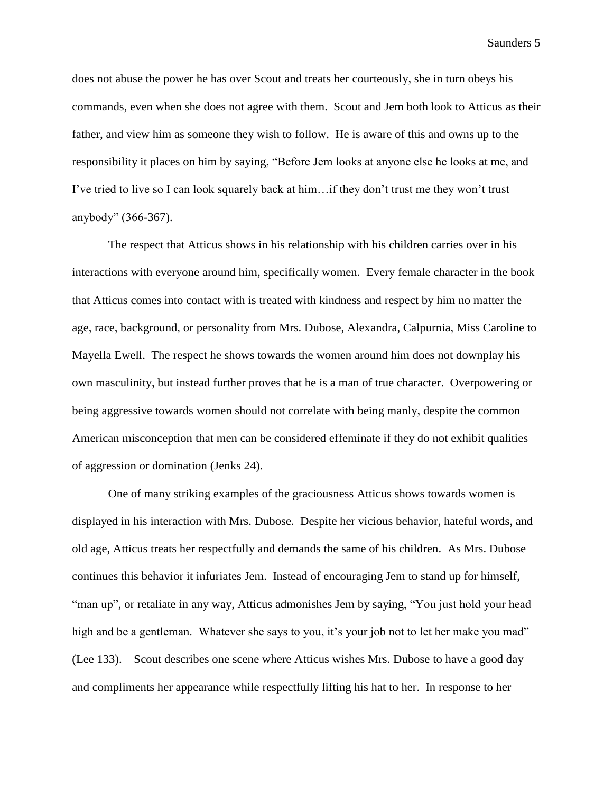does not abuse the power he has over Scout and treats her courteously, she in turn obeys his commands, even when she does not agree with them. Scout and Jem both look to Atticus as their father, and view him as someone they wish to follow. He is aware of this and owns up to the responsibility it places on him by saying, "Before Jem looks at anyone else he looks at me, and I've tried to live so I can look squarely back at him…if they don't trust me they won't trust anybody" (366-367).

The respect that Atticus shows in his relationship with his children carries over in his interactions with everyone around him, specifically women. Every female character in the book that Atticus comes into contact with is treated with kindness and respect by him no matter the age, race, background, or personality from Mrs. Dubose, Alexandra, Calpurnia, Miss Caroline to Mayella Ewell. The respect he shows towards the women around him does not downplay his own masculinity, but instead further proves that he is a man of true character. Overpowering or being aggressive towards women should not correlate with being manly, despite the common American misconception that men can be considered effeminate if they do not exhibit qualities of aggression or domination (Jenks 24).

One of many striking examples of the graciousness Atticus shows towards women is displayed in his interaction with Mrs. Dubose. Despite her vicious behavior, hateful words, and old age, Atticus treats her respectfully and demands the same of his children. As Mrs. Dubose continues this behavior it infuriates Jem. Instead of encouraging Jem to stand up for himself, "man up", or retaliate in any way, Atticus admonishes Jem by saying, "You just hold your head high and be a gentleman. Whatever she says to you, it's your job not to let her make you mad" (Lee 133). Scout describes one scene where Atticus wishes Mrs. Dubose to have a good day and compliments her appearance while respectfully lifting his hat to her. In response to her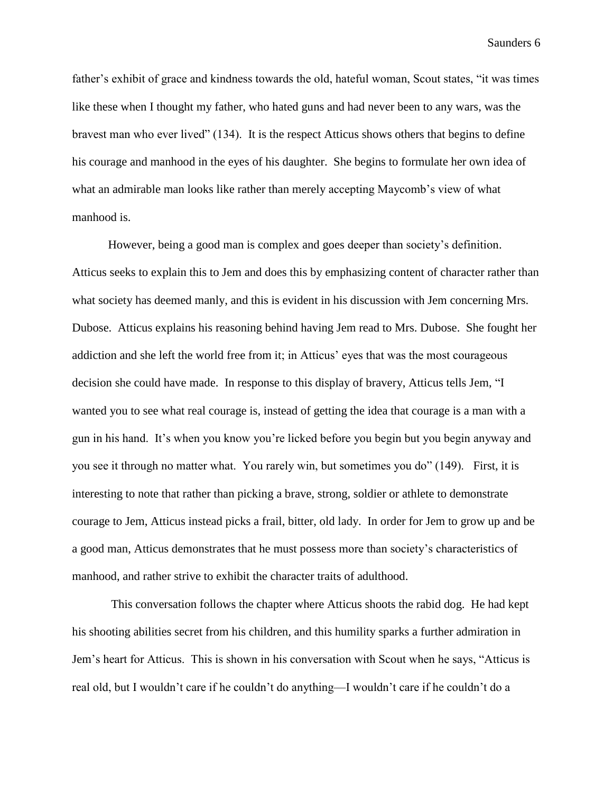father's exhibit of grace and kindness towards the old, hateful woman, Scout states, "it was times like these when I thought my father, who hated guns and had never been to any wars, was the bravest man who ever lived" (134). It is the respect Atticus shows others that begins to define his courage and manhood in the eyes of his daughter. She begins to formulate her own idea of what an admirable man looks like rather than merely accepting Maycomb's view of what manhood is.

However, being a good man is complex and goes deeper than society's definition. Atticus seeks to explain this to Jem and does this by emphasizing content of character rather than what society has deemed manly, and this is evident in his discussion with Jem concerning Mrs. Dubose. Atticus explains his reasoning behind having Jem read to Mrs. Dubose. She fought her addiction and she left the world free from it; in Atticus' eyes that was the most courageous decision she could have made. In response to this display of bravery, Atticus tells Jem, "I wanted you to see what real courage is, instead of getting the idea that courage is a man with a gun in his hand. It's when you know you're licked before you begin but you begin anyway and you see it through no matter what. You rarely win, but sometimes you do" (149). First, it is interesting to note that rather than picking a brave, strong, soldier or athlete to demonstrate courage to Jem, Atticus instead picks a frail, bitter, old lady. In order for Jem to grow up and be a good man, Atticus demonstrates that he must possess more than society's characteristics of manhood, and rather strive to exhibit the character traits of adulthood.

This conversation follows the chapter where Atticus shoots the rabid dog. He had kept his shooting abilities secret from his children, and this humility sparks a further admiration in Jem's heart for Atticus. This is shown in his conversation with Scout when he says, "Atticus is real old, but I wouldn't care if he couldn't do anything—I wouldn't care if he couldn't do a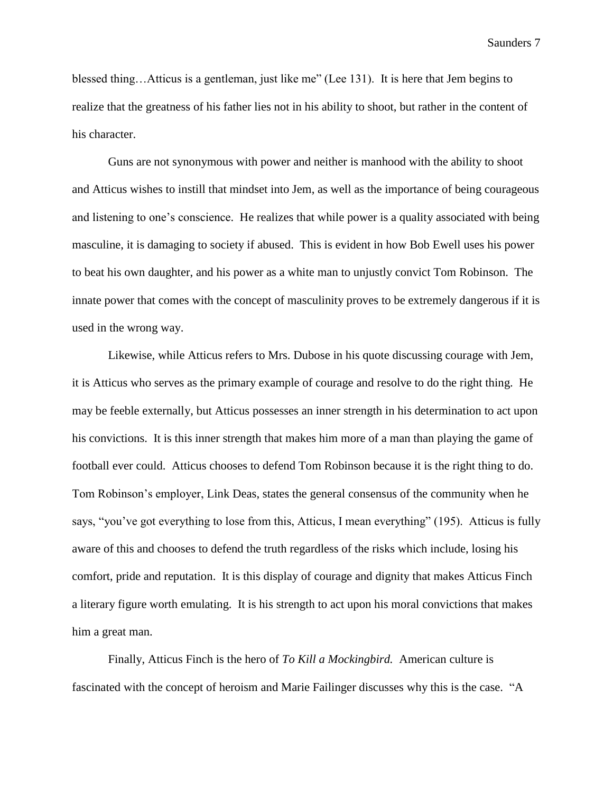blessed thing…Atticus is a gentleman, just like me" (Lee 131). It is here that Jem begins to realize that the greatness of his father lies not in his ability to shoot, but rather in the content of his character.

Guns are not synonymous with power and neither is manhood with the ability to shoot and Atticus wishes to instill that mindset into Jem, as well as the importance of being courageous and listening to one's conscience. He realizes that while power is a quality associated with being masculine, it is damaging to society if abused. This is evident in how Bob Ewell uses his power to beat his own daughter, and his power as a white man to unjustly convict Tom Robinson. The innate power that comes with the concept of masculinity proves to be extremely dangerous if it is used in the wrong way.

Likewise, while Atticus refers to Mrs. Dubose in his quote discussing courage with Jem, it is Atticus who serves as the primary example of courage and resolve to do the right thing. He may be feeble externally, but Atticus possesses an inner strength in his determination to act upon his convictions. It is this inner strength that makes him more of a man than playing the game of football ever could. Atticus chooses to defend Tom Robinson because it is the right thing to do. Tom Robinson's employer, Link Deas, states the general consensus of the community when he says, "you've got everything to lose from this, Atticus, I mean everything" (195). Atticus is fully aware of this and chooses to defend the truth regardless of the risks which include, losing his comfort, pride and reputation. It is this display of courage and dignity that makes Atticus Finch a literary figure worth emulating. It is his strength to act upon his moral convictions that makes him a great man.

Finally, Atticus Finch is the hero of *To Kill a Mockingbird.* American culture is fascinated with the concept of heroism and Marie Failinger discusses why this is the case. "A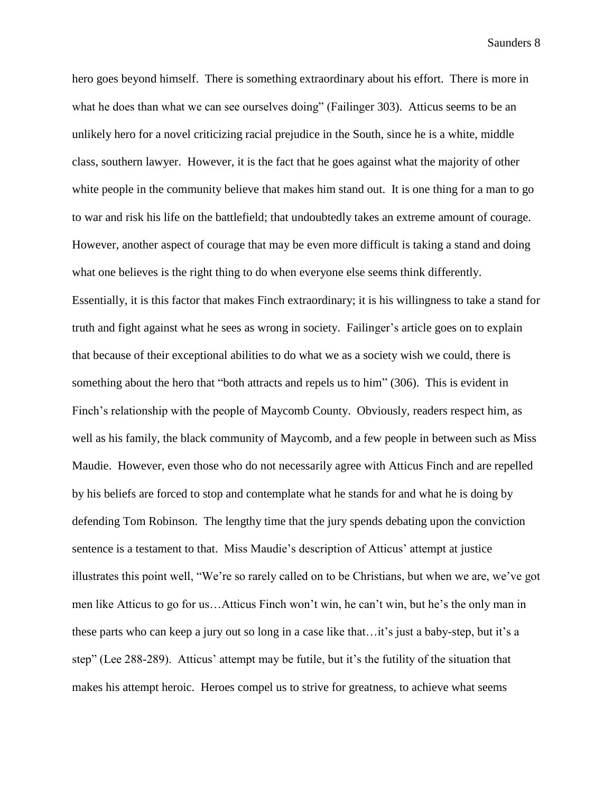hero goes beyond himself. There is something extraordinary about his effort. There is more in what he does than what we can see ourselves doing" (Failinger 303). Atticus seems to be an unlikely hero for a novel criticizing racial prejudice in the South, since he is a white, middle class, southern lawyer. However, it is the fact that he goes against what the majority of other white people in the community believe that makes him stand out. It is one thing for a man to go to war and risk his life on the battlefield; that undoubtedly takes an extreme amount of courage. However, another aspect of courage that may be even more difficult is taking a stand and doing what one believes is the right thing to do when everyone else seems think differently. Essentially, it is this factor that makes Finch extraordinary; it is his willingness to take a stand for truth and fight against what he sees as wrong in society. Failinger's article goes on to explain that because of their exceptional abilities to do what we as a society wish we could, there is something about the hero that "both attracts and repels us to him" (306). This is evident in Finch's relationship with the people of Maycomb County. Obviously, readers respect him, as well as his family, the black community of Maycomb, and a few people in between such as Miss Maudie. However, even those who do not necessarily agree with Atticus Finch and are repelled by his beliefs are forced to stop and contemplate what he stands for and what he is doing by defending Tom Robinson. The lengthy time that the jury spends debating upon the conviction sentence is a testament to that. Miss Maudie's description of Atticus' attempt at justice illustrates this point well, "We're so rarely called on to be Christians, but when we are, we've got men like Atticus to go for us…Atticus Finch won't win, he can't win, but he's the only man in these parts who can keep a jury out so long in a case like that…it's just a baby-step, but it's a step" (Lee 288-289). Atticus' attempt may be futile, but it's the futility of the situation that makes his attempt heroic. Heroes compel us to strive for greatness, to achieve what seems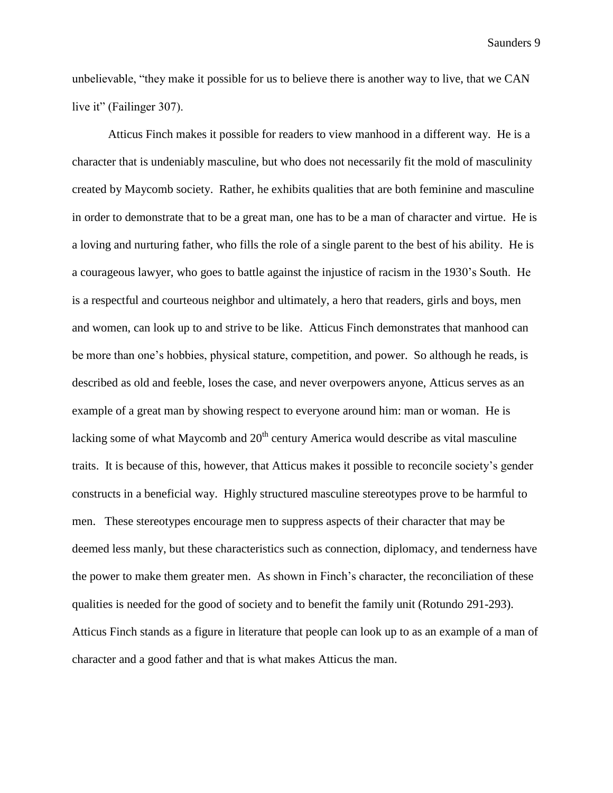unbelievable, "they make it possible for us to believe there is another way to live, that we CAN live it" (Failinger 307).

Atticus Finch makes it possible for readers to view manhood in a different way. He is a character that is undeniably masculine, but who does not necessarily fit the mold of masculinity created by Maycomb society. Rather, he exhibits qualities that are both feminine and masculine in order to demonstrate that to be a great man, one has to be a man of character and virtue. He is a loving and nurturing father, who fills the role of a single parent to the best of his ability. He is a courageous lawyer, who goes to battle against the injustice of racism in the 1930's South. He is a respectful and courteous neighbor and ultimately, a hero that readers, girls and boys, men and women, can look up to and strive to be like. Atticus Finch demonstrates that manhood can be more than one's hobbies, physical stature, competition, and power. So although he reads, is described as old and feeble, loses the case, and never overpowers anyone, Atticus serves as an example of a great man by showing respect to everyone around him: man or woman. He is lacking some of what Maycomb and  $20<sup>th</sup>$  century America would describe as vital masculine traits. It is because of this, however, that Atticus makes it possible to reconcile society's gender constructs in a beneficial way. Highly structured masculine stereotypes prove to be harmful to men. These stereotypes encourage men to suppress aspects of their character that may be deemed less manly, but these characteristics such as connection, diplomacy, and tenderness have the power to make them greater men. As shown in Finch's character, the reconciliation of these qualities is needed for the good of society and to benefit the family unit (Rotundo 291-293). Atticus Finch stands as a figure in literature that people can look up to as an example of a man of character and a good father and that is what makes Atticus the man.